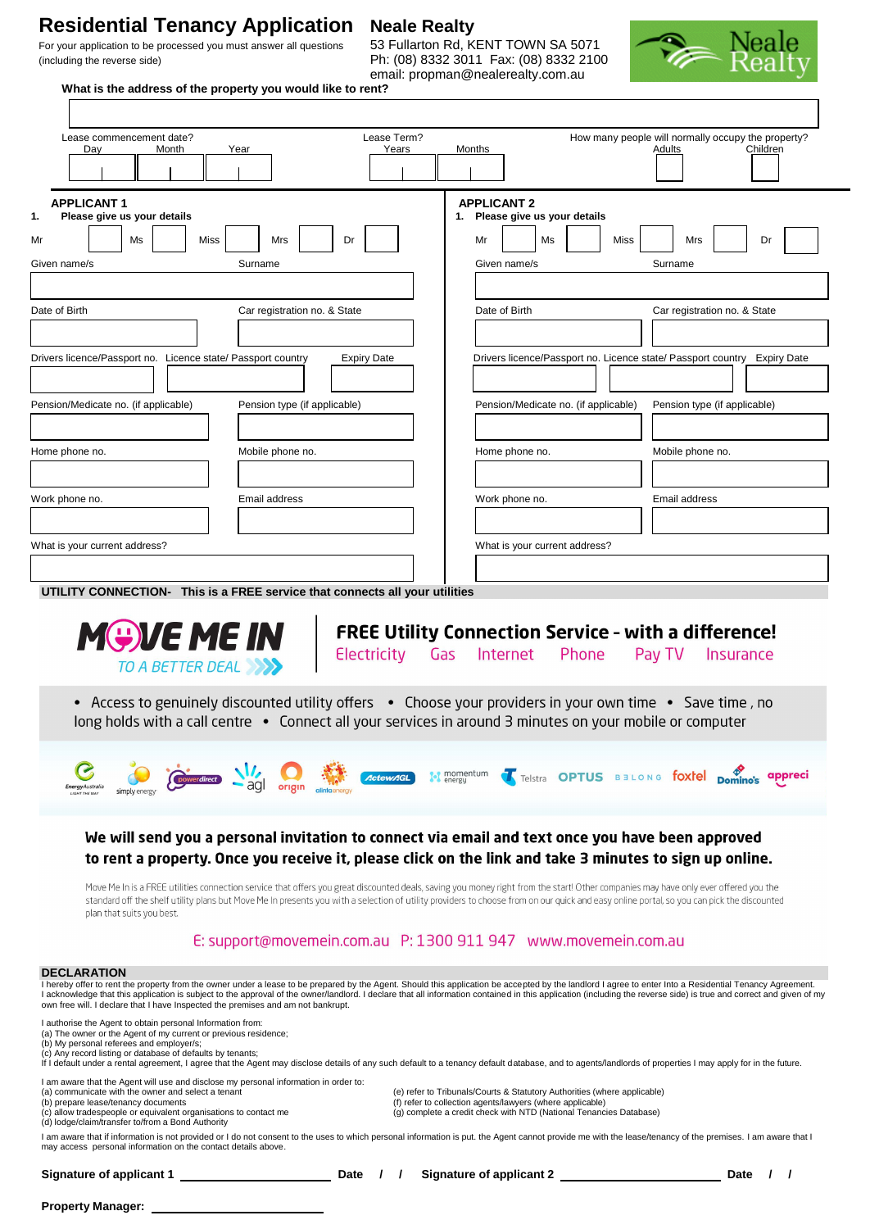# **Residential Tenancy Application Neale Realty**<br>For your application to be processed you must answer all questions 53 Fullarton Rd. KENT TOWN SA 5071

## For your application to be processed you must answer all questions (including the reverse side) Ph: (08) 8332 3011 Fax: (08) 8332 2100

email: propman@nealerealty.com.au



**What is the address of the property you would like to rent?** 

| Lease Term?<br>Lease commencement date?<br>Years<br>Day<br>Month<br>Year                                                                                             |                                                                                                                                                                                                                                                                                                                                                                                                                                 |
|----------------------------------------------------------------------------------------------------------------------------------------------------------------------|---------------------------------------------------------------------------------------------------------------------------------------------------------------------------------------------------------------------------------------------------------------------------------------------------------------------------------------------------------------------------------------------------------------------------------|
|                                                                                                                                                                      | How many people will normally occupy the property?<br>Children<br>Months<br>Adults                                                                                                                                                                                                                                                                                                                                              |
| <b>APPLICANT1</b>                                                                                                                                                    | <b>APPLICANT 2</b>                                                                                                                                                                                                                                                                                                                                                                                                              |
| Please give us your details<br>Ms<br>Miss<br>Mrs<br>Dr                                                                                                               | 1. Please give us your details<br>Ms<br>Miss<br>Mrs<br>Dr<br>Mr                                                                                                                                                                                                                                                                                                                                                                 |
| Given name/s<br>Surname                                                                                                                                              | Given name/s<br>Surname                                                                                                                                                                                                                                                                                                                                                                                                         |
|                                                                                                                                                                      |                                                                                                                                                                                                                                                                                                                                                                                                                                 |
| Date of Birth<br>Car registration no. & State                                                                                                                        | Date of Birth<br>Car registration no. & State                                                                                                                                                                                                                                                                                                                                                                                   |
| Drivers licence/Passport no. Licence state/ Passport country<br><b>Expiry Date</b>                                                                                   | Drivers licence/Passport no. Licence state/ Passport country Expiry Date                                                                                                                                                                                                                                                                                                                                                        |
| Pension/Medicate no. (if applicable)<br>Pension type (if applicable)                                                                                                 | Pension/Medicate no. (if applicable)<br>Pension type (if applicable)                                                                                                                                                                                                                                                                                                                                                            |
| Mobile phone no.<br>Home phone no.                                                                                                                                   | Home phone no.<br>Mobile phone no.                                                                                                                                                                                                                                                                                                                                                                                              |
| Email address<br>Work phone no.                                                                                                                                      | Work phone no.<br>Email address                                                                                                                                                                                                                                                                                                                                                                                                 |
|                                                                                                                                                                      |                                                                                                                                                                                                                                                                                                                                                                                                                                 |
| What is your current address?                                                                                                                                        | What is your current address?                                                                                                                                                                                                                                                                                                                                                                                                   |
| <b>MGVE ME IN</b><br>TO A BETTER DEAL<br>long holds with a call centre • Connect all your services in around 3 minutes on your mobile or computer                    | <b>FREE Utility Connection Service - with a difference!</b><br>Electricity Gas Internet<br>Phone<br>Pay TV<br>Insurance<br>• Access to genuinely discounted utility offers • Choose your providers in your own time • Save time, no                                                                                                                                                                                             |
| <b><i><u>CtewAGL</u></i></b><br>EnergyAustralia                                                                                                                      | momentum<br>Telstra OPTUS BELONG foxtel Domino's<br>appreci                                                                                                                                                                                                                                                                                                                                                                     |
|                                                                                                                                                                      |                                                                                                                                                                                                                                                                                                                                                                                                                                 |
| We will send you a personal invitation to connect via email and text once you have been approved                                                                     | to rent a property. Once you receive it, please click on the link and take 3 minutes to sign up online.                                                                                                                                                                                                                                                                                                                         |
| plan that suits you best.                                                                                                                                            | Move Me In is a FREE utilities connection service that offers you great discounted deals, saving you money right from the start! Other companies may have only ever offered you the<br>standard off the shelf utility plans but Move Me In presents you with a selection of utility providers to choose from on our quick and easy online portal, so you can pick the discounted                                                |
|                                                                                                                                                                      | E: support@movemein.com.au P: 1300 911 947 www.movemein.com.au                                                                                                                                                                                                                                                                                                                                                                  |
| <b>DECLARATION</b><br>own free will. I declare that I have Inspected the premises and am not bankrupt.<br>I authorise the Agent to obtain personal Information from: | I hereby offer to rent the property from the owner under a lease to be prepared by the Agent. Should this application be accepted by the landlord I agree to enter Into a Residential Tenancy Agreement.<br>I acknowledge that this application is subject to the approval of the owner/landlord. I declare that all information contained in this application (including the reverse side) is true and correct and given of my |

I am aware that the Agent will use and disclose my personal information in order to:<br>
(a) communicate with the owner and select a tenant (a) order to (b) refer to Tribunals/Courts & Statutory Authorities (where applicable)

I am aware that if information is not provided or I do not consent to the uses to which personal information is put. the Agent cannot provide me with the lease/tenancy of the premises. I am aware that I<br>may access persona

**Signature of applicant 1 Date / / Signature of applicant 2 Date / /**

**Property Manager:**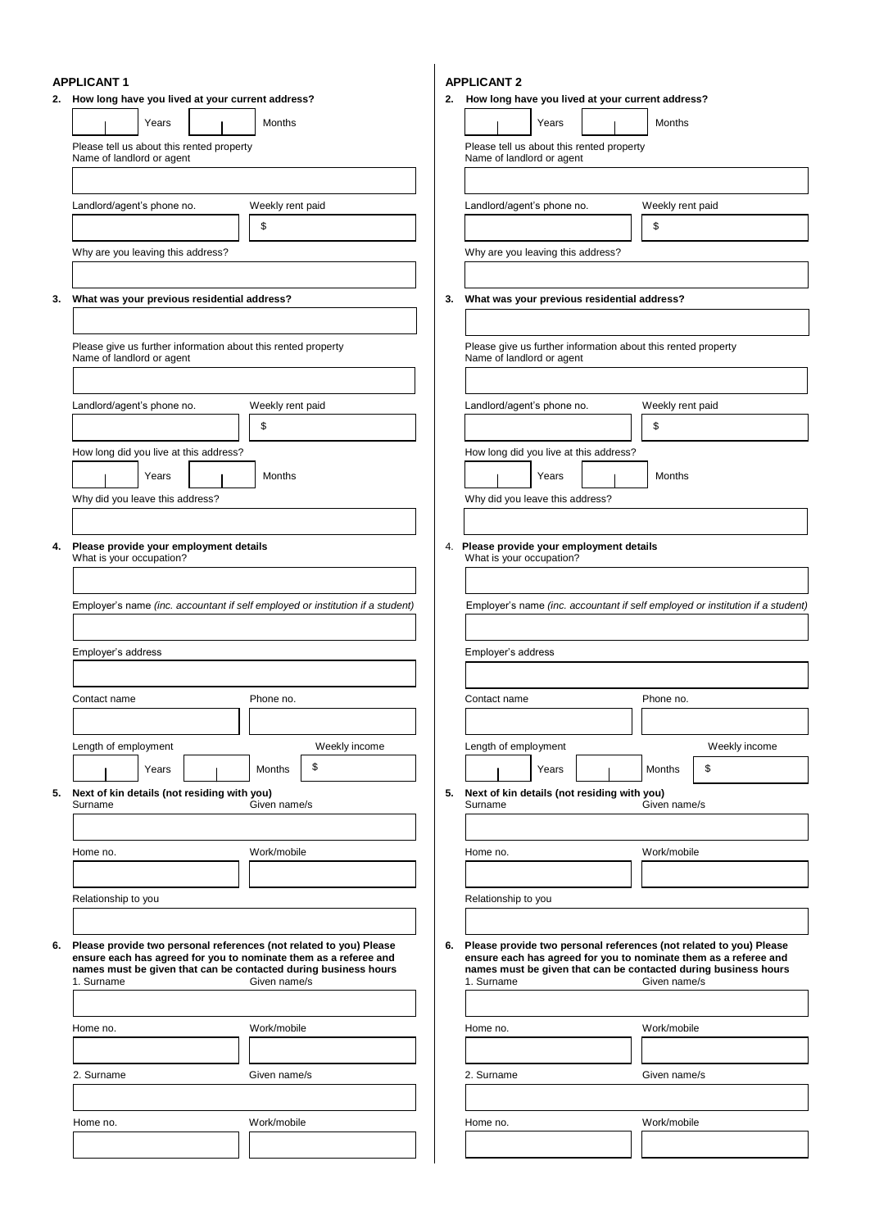## **APPLICANT 1**

|                                                                                                                                                                                                                                                                                                                                                                                                                                                                    | 2. How long have you lived at your current address?                                        |                  |                     | 2. | How long have you lived at your current address?                                           |       |  |                  |                                                                                |
|--------------------------------------------------------------------------------------------------------------------------------------------------------------------------------------------------------------------------------------------------------------------------------------------------------------------------------------------------------------------------------------------------------------------------------------------------------------------|--------------------------------------------------------------------------------------------|------------------|---------------------|----|--------------------------------------------------------------------------------------------|-------|--|------------------|--------------------------------------------------------------------------------|
|                                                                                                                                                                                                                                                                                                                                                                                                                                                                    | Years                                                                                      | Months           |                     |    |                                                                                            | Years |  | Months           |                                                                                |
|                                                                                                                                                                                                                                                                                                                                                                                                                                                                    | Please tell us about this rented property<br>Name of landlord or agent                     |                  |                     |    | Please tell us about this rented property<br>Name of landlord or agent                     |       |  |                  |                                                                                |
|                                                                                                                                                                                                                                                                                                                                                                                                                                                                    |                                                                                            |                  |                     |    |                                                                                            |       |  |                  |                                                                                |
|                                                                                                                                                                                                                                                                                                                                                                                                                                                                    | Landlord/agent's phone no.                                                                 | Weekly rent paid |                     |    | Landlord/agent's phone no.                                                                 |       |  | Weekly rent paid |                                                                                |
|                                                                                                                                                                                                                                                                                                                                                                                                                                                                    |                                                                                            | \$               |                     |    |                                                                                            |       |  | \$               |                                                                                |
|                                                                                                                                                                                                                                                                                                                                                                                                                                                                    | Why are you leaving this address?                                                          |                  |                     |    | Why are you leaving this address?                                                          |       |  |                  |                                                                                |
|                                                                                                                                                                                                                                                                                                                                                                                                                                                                    |                                                                                            |                  |                     |    |                                                                                            |       |  |                  |                                                                                |
| 3.                                                                                                                                                                                                                                                                                                                                                                                                                                                                 | What was your previous residential address?                                                |                  |                     | 3. | What was your previous residential address?                                                |       |  |                  |                                                                                |
|                                                                                                                                                                                                                                                                                                                                                                                                                                                                    |                                                                                            |                  |                     |    |                                                                                            |       |  |                  |                                                                                |
|                                                                                                                                                                                                                                                                                                                                                                                                                                                                    | Please give us further information about this rented property<br>Name of landlord or agent |                  |                     |    | Please give us further information about this rented property<br>Name of landlord or agent |       |  |                  |                                                                                |
|                                                                                                                                                                                                                                                                                                                                                                                                                                                                    |                                                                                            |                  |                     |    |                                                                                            |       |  |                  |                                                                                |
|                                                                                                                                                                                                                                                                                                                                                                                                                                                                    | Landlord/agent's phone no.                                                                 | Weekly rent paid |                     |    | Landlord/agent's phone no.                                                                 |       |  | Weekly rent paid |                                                                                |
|                                                                                                                                                                                                                                                                                                                                                                                                                                                                    |                                                                                            | \$               |                     |    |                                                                                            |       |  | \$               |                                                                                |
|                                                                                                                                                                                                                                                                                                                                                                                                                                                                    | How long did you live at this address?                                                     |                  |                     |    | How long did you live at this address?                                                     |       |  |                  |                                                                                |
|                                                                                                                                                                                                                                                                                                                                                                                                                                                                    | Years                                                                                      | Months           |                     |    |                                                                                            | Years |  | Months           |                                                                                |
|                                                                                                                                                                                                                                                                                                                                                                                                                                                                    | Why did you leave this address?                                                            |                  |                     |    | Why did you leave this address?                                                            |       |  |                  |                                                                                |
|                                                                                                                                                                                                                                                                                                                                                                                                                                                                    |                                                                                            |                  |                     |    |                                                                                            |       |  |                  |                                                                                |
| 4.                                                                                                                                                                                                                                                                                                                                                                                                                                                                 | Please provide your employment details<br>What is your occupation?                         |                  |                     |    | 4. Please provide your employment details<br>What is your occupation?                      |       |  |                  |                                                                                |
|                                                                                                                                                                                                                                                                                                                                                                                                                                                                    |                                                                                            |                  |                     |    |                                                                                            |       |  |                  |                                                                                |
|                                                                                                                                                                                                                                                                                                                                                                                                                                                                    | Employer's name (inc. accountant if self employed or institution if a student)             |                  |                     |    |                                                                                            |       |  |                  | Employer's name (inc. accountant if self employed or institution if a student) |
|                                                                                                                                                                                                                                                                                                                                                                                                                                                                    |                                                                                            |                  |                     |    |                                                                                            |       |  |                  |                                                                                |
|                                                                                                                                                                                                                                                                                                                                                                                                                                                                    | Employer's address                                                                         |                  |                     |    | Employer's address                                                                         |       |  |                  |                                                                                |
|                                                                                                                                                                                                                                                                                                                                                                                                                                                                    |                                                                                            |                  |                     |    |                                                                                            |       |  |                  |                                                                                |
|                                                                                                                                                                                                                                                                                                                                                                                                                                                                    | Contact name                                                                               | Phone no.        |                     |    | Contact name                                                                               |       |  | Phone no.        |                                                                                |
|                                                                                                                                                                                                                                                                                                                                                                                                                                                                    |                                                                                            |                  |                     |    |                                                                                            |       |  |                  | Weekly income                                                                  |
|                                                                                                                                                                                                                                                                                                                                                                                                                                                                    | Length of employment<br>Years                                                              | Months           | Weekly income<br>\$ |    | Length of employment                                                                       | Years |  | Months           | \$                                                                             |
| 5.                                                                                                                                                                                                                                                                                                                                                                                                                                                                 | Next of kin details (not residing with you)                                                |                  |                     |    | 5. Next of kin details (not residing with you)                                             |       |  |                  |                                                                                |
|                                                                                                                                                                                                                                                                                                                                                                                                                                                                    | Surname                                                                                    | Given name/s     |                     |    | Surname                                                                                    |       |  | Given name/s     |                                                                                |
|                                                                                                                                                                                                                                                                                                                                                                                                                                                                    |                                                                                            |                  |                     |    |                                                                                            |       |  |                  |                                                                                |
|                                                                                                                                                                                                                                                                                                                                                                                                                                                                    | Home no.                                                                                   | Work/mobile      |                     |    | Home no.                                                                                   |       |  | Work/mobile      |                                                                                |
|                                                                                                                                                                                                                                                                                                                                                                                                                                                                    |                                                                                            |                  |                     |    |                                                                                            |       |  |                  |                                                                                |
|                                                                                                                                                                                                                                                                                                                                                                                                                                                                    | Relationship to you                                                                        |                  |                     |    | Relationship to you                                                                        |       |  |                  |                                                                                |
| 6.                                                                                                                                                                                                                                                                                                                                                                                                                                                                 |                                                                                            |                  |                     | 6. |                                                                                            |       |  |                  |                                                                                |
| Please provide two personal references (not related to you) Please<br>Please provide two personal references (not related to you) Please<br>ensure each has agreed for you to nominate them as a referee and<br>ensure each has agreed for you to nominate them as a referee and<br>names must be given that can be contacted during business hours<br>names must be given that can be contacted during business hours<br>1. Surname<br>Given name/s<br>1. Surname |                                                                                            |                  |                     |    | Given name/s                                                                               |       |  |                  |                                                                                |
|                                                                                                                                                                                                                                                                                                                                                                                                                                                                    |                                                                                            |                  |                     |    |                                                                                            |       |  |                  |                                                                                |
|                                                                                                                                                                                                                                                                                                                                                                                                                                                                    | Home no.                                                                                   | Work/mobile      |                     |    | Home no.                                                                                   |       |  | Work/mobile      |                                                                                |
|                                                                                                                                                                                                                                                                                                                                                                                                                                                                    |                                                                                            |                  |                     |    |                                                                                            |       |  |                  |                                                                                |
|                                                                                                                                                                                                                                                                                                                                                                                                                                                                    | 2. Surname                                                                                 | Given name/s     |                     |    | 2. Surname                                                                                 |       |  | Given name/s     |                                                                                |
|                                                                                                                                                                                                                                                                                                                                                                                                                                                                    | Home no.                                                                                   | Work/mobile      |                     |    | Home no.                                                                                   |       |  | Work/mobile      |                                                                                |
|                                                                                                                                                                                                                                                                                                                                                                                                                                                                    |                                                                                            |                  |                     |    |                                                                                            |       |  |                  |                                                                                |
|                                                                                                                                                                                                                                                                                                                                                                                                                                                                    |                                                                                            |                  |                     |    |                                                                                            |       |  |                  |                                                                                |

**APPLICANT 2**